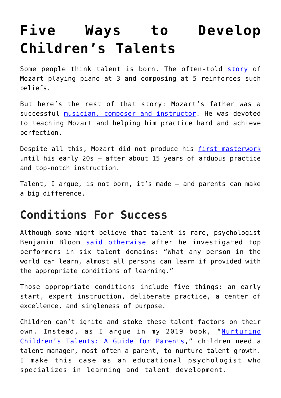# **[Five Ways to Develop](https://intellectualtakeout.org/2019/02/five-ways-to-develop-childrens-talents/) [Children's Talents](https://intellectualtakeout.org/2019/02/five-ways-to-develop-childrens-talents/)**

Some people think talent is born. The often-told [story](https://www.biography.com/people/wolfgang-mozart-9417115) of Mozart playing piano at 3 and composing at 5 reinforces such beliefs.

But here's the rest of that story: Mozart's father was a successful [musician, composer and instructor.](https://www.britannica.com/biography/Leopold-Mozart) He was devoted to teaching Mozart and helping him practice hard and achieve perfection.

Despite all this, Mozart did not produce his [first masterwork](https://books.google.com/books?id=AOIF3rtM8nUC&pg=PA212&lpg=PA212&dq=hayes+10+year+rule&source=bl&ots=72sj0djtOL&sig=ACfU3U1zIFOB4l-ydNuz0pAQpHTS2SorCg&hl=en&sa=X&ved=2ahUKEwi_2d2sma3gAhUGiqwKHfzHAK4Q6AEwAnoECAgQAQ#v=onepage&q=hayes%2010%20year%20rule&f=false) until his early 20s – after about 15 years of arduous practice and top-notch instruction.

Talent, I argue, is not born, it's made – and parents can make a big difference.

#### **Conditions For Success**

Although some might believe that talent is rare, psychologist Benjamin Bloom [said otherwise](https://www.penguinrandomhouse.com/books/15009/developing-talent-in-young-people-by-dr-benjamin-bloom/9780345315090/) after he investigated top performers in six talent domains: "What any person in the world can learn, almost all persons can learn if provided with the appropriate conditions of learning."

Those appropriate conditions include five things: an early start, expert instruction, deliberate practice, a center of excellence, and singleness of purpose.

Children can't ignite and stoke these talent factors on their own. Instead, as I argue in my 2019 book, "[Nurturing](https://www.abc-clio.com/Praeger/product.aspx?pc=A5938C) [Children's Talents: A Guide for Parents](https://www.abc-clio.com/Praeger/product.aspx?pc=A5938C)," children need a talent manager, most often a parent, to nurture talent growth. I make this case as an educational psychologist who specializes in learning and talent development.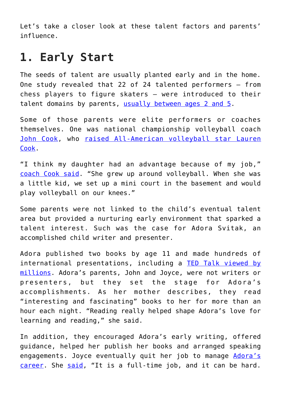Let's take a closer look at these talent factors and parents' influence.

#### **1. Early Start**

The seeds of talent are usually planted early and in the home. One study revealed that 22 of 24 talented performers – from chess players to figure skaters – were introduced to their talent domains by parents, [usually between ages 2 and 5.](https://eric.ed.gov/?id=EJ1058967)

Some of those parents were elite performers or coaches themselves. One was national championship volleyball coach [John Cook,](https://journalstar.com/sports/huskers/volleyball/john-cook-earns-national-coach-of-the-year-award-from/article_9ac14a39-1aa4-53e9-ba03-78a54965b54b.html) who [raised All-American volleyball star Lauren](https://www.theindependent.com/sports/cooks-closer-after-lessons-on-off-court/article_b213b98a-35e6-11e2-bbcc-001a4bcf887a.html) [Cook](https://www.theindependent.com/sports/cooks-closer-after-lessons-on-off-court/article_b213b98a-35e6-11e2-bbcc-001a4bcf887a.html).

"I think my daughter had an advantage because of my job," [coach Cook said.](https://www.tandfonline.com/doi/full/10.1080/02783193.2018.1466841) "She grew up around volleyball. When she was a little kid, we set up a mini court in the basement and would play volleyball on our knees."

Some parents were not linked to the child's eventual talent area but provided a nurturing early environment that sparked a talent interest. Such was the case for Adora Svitak, an accomplished child writer and presenter.

Adora published two books by age 11 and made hundreds of international presentations, including a [TED Talk viewed by](https://www.ted.com/talks/adora_svitak?language=en) [millions](https://www.ted.com/talks/adora_svitak?language=en). Adora's parents, John and Joyce, were not writers or presenters, but they set the stage for Adora's accomplishments. As her mother describes, they read "interesting and fascinating" books to her for more than an hour each night. "Reading really helped shape Adora's love for learning and reading," she said.

In addition, they encouraged Adora's early writing, offered guidance, helped her publish her books and arranged speaking engagements. Joyce eventually quit her job to manage [Adora's](https://www.adorasvitak.com/) [career](https://www.adorasvitak.com/). She [said](https://books.google.com/books/about/Nurturing_Children_s_Talents.html?id=PaE8uQEACAAJ), "It is a full-time job, and it can be hard.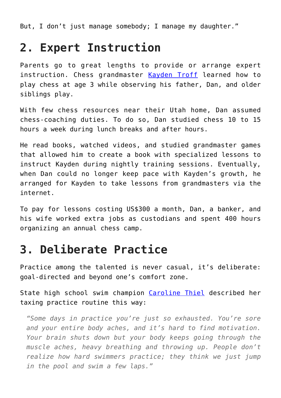But, I don't just manage somebody; I manage my daughter."

#### **2. Expert Instruction**

Parents go to great lengths to provide or arrange expert instruction. Chess grandmaster [Kayden Troff](https://ratings.fide.com/card.phtml?event=2047896) learned how to play chess at age 3 while observing his father, Dan, and older siblings play.

With few chess resources near their Utah home, Dan assumed chess-coaching duties. To do so, Dan studied chess 10 to 15 hours a week during lunch breaks and after hours.

He read books, watched videos, and studied grandmaster games that allowed him to create a book with specialized lessons to instruct Kayden during nightly training sessions. Eventually, when Dan could no longer keep pace with Kayden's growth, he arranged for Kayden to take lessons from grandmasters via the internet.

To pay for lessons costing US\$300 a month, Dan, a banker, and his wife worked extra jobs as custodians and spent 400 hours organizing an annual chess camp.

#### **3. Deliberate Practice**

Practice among the talented is never casual, it's deliberate: goal-directed and beyond one's comfort zone.

State high school swim champion [Caroline Thiel](https://swimswam.com/nebraska-200-im-state-champion-caroline-theil-gives-verbal-texas-a-m-aggies/) described her taxing practice routine this way:

*"Some days in practice you're just so exhausted. You're sore and your entire body aches, and it's hard to find motivation. Your brain shuts down but your body keeps going through the muscle aches, heavy breathing and throwing up. People don't realize how hard swimmers practice; they think we just jump in the pool and swim a few laps."*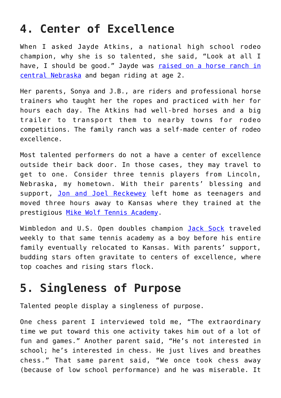## **4. Center of Excellence**

When I asked Jayde Atkins, a national high school rodeo champion, why she is so talented, she said, "Look at all I have, I should be good." Jayde was [raised on a horse ranch in](https://rodeonews.com/association/meet-the-member-jayde-atkins/) [central Nebraska](https://rodeonews.com/association/meet-the-member-jayde-atkins/) and began riding at age 2.

Her parents, Sonya and J.B., are riders and professional horse trainers who taught her the ropes and practiced with her for hours each day. The Atkins had well-bred horses and a big trailer to transport them to nearby towns for rodeo competitions. The family ranch was a self-made center of rodeo excellence.

Most talented performers do not a have a center of excellence outside their back door. In those cases, they may travel to get to one. Consider three tennis players from Lincoln, Nebraska, my hometown. With their parents' blessing and support, [Jon and Joel Reckewey](http://reckeweytennis.com/about-us.html) left home as teenagers and moved three hours away to Kansas where they trained at the prestigious [Mike Wolf Tennis Academy](https://journalstar.com/sports/lincoln-tennis-player-sock-at-the-top-of-his-game/article_0f457569-1211-58b6-8d12-0c40e6e46966.html).

Wimbledon and U.S. Open doubles champion [Jack Sock](https://www.kcur.org/post/how-kansas-city-based-team-helps-tennis-player-jack-sock-compete-around-world#stream/0) traveled weekly to that same tennis academy as a boy before his entire family eventually relocated to Kansas. With parents' support, budding stars often gravitate to centers of excellence, where top coaches and rising stars flock.

# **5. Singleness of Purpose**

Talented people display a singleness of purpose.

One chess parent I interviewed told me, "The extraordinary time we put toward this one activity takes him out of a lot of fun and games." Another parent said, "He's not interested in school; he's interested in chess. He just lives and breathes chess." That same parent said, "We once took chess away (because of low school performance) and he was miserable. It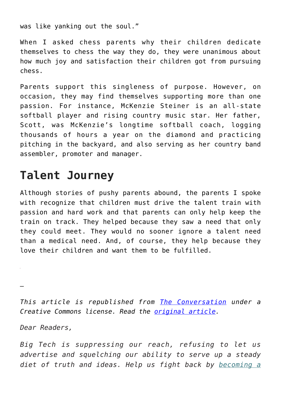was like yanking out the soul."

When I asked chess parents why their children dedicate themselves to chess the way they do, they were unanimous about how much joy and satisfaction their children got from pursuing chess.

Parents support this singleness of purpose. However, on occasion, they may find themselves supporting more than one passion. For instance, McKenzie Steiner is an all-state softball player and rising country music star. Her father, Scott, was McKenzie's longtime softball coach, logging thousands of hours a year on the diamond and practicing pitching in the backyard, and also serving as her country band assembler, promoter and manager.

### **Talent Journey**

Although stories of pushy parents abound, the parents I spoke with recognize that children must drive the talent train with passion and hard work and that parents can only help keep the train on track. They helped because they saw a need that only they could meet. They would no sooner ignore a talent need than a medical need. And, of course, they help because they love their children and want them to be fulfilled.

*—*

*This article is republished from [The Conversation](http://theconversation.com) under a Creative Commons license. Read the [original article.](https://theconversation.com/5-ways-to-develop-childrens-talents-111041)*

*Dear Readers,*

*Big Tech is suppressing our reach, refusing to let us advertise and squelching our ability to serve up a steady diet of truth and ideas. Help us fight back by [becoming a](https://www.chroniclesmagazine.org/subscribe/)*